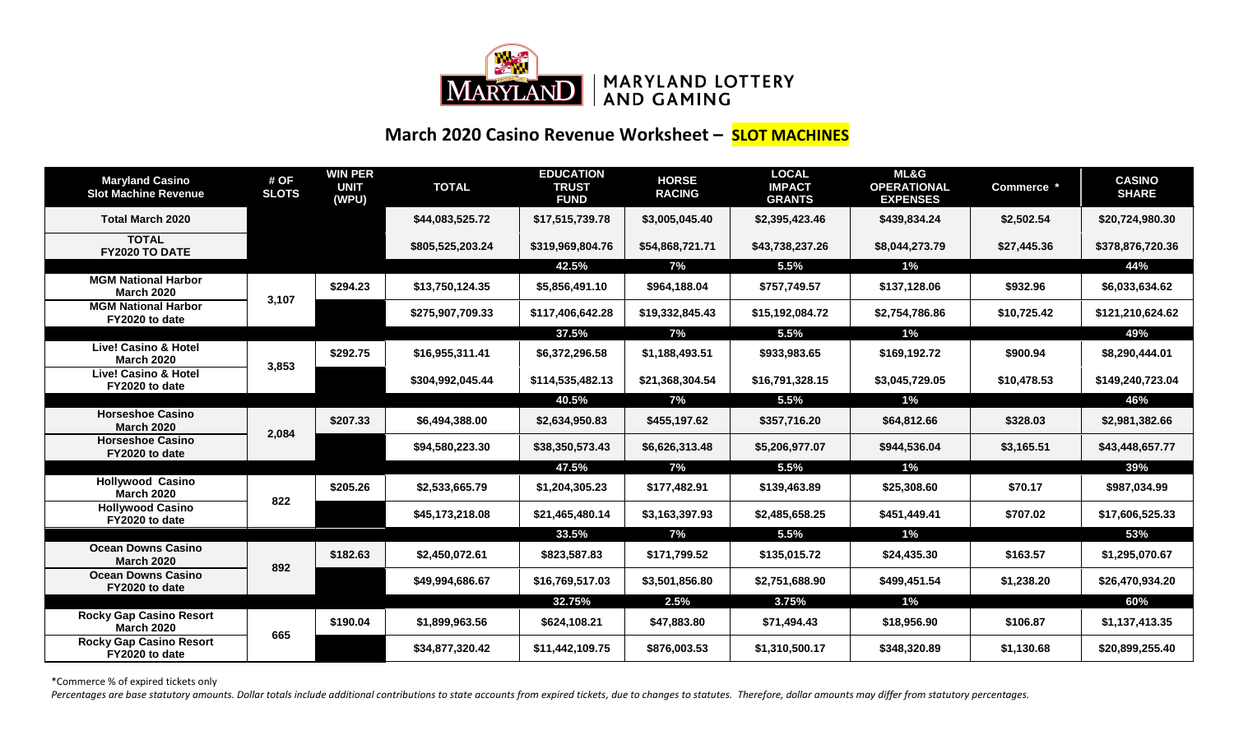

## **March 2020 Casino Revenue Worksheet – SLOT MACHINES**

| <b>Maryland Casino</b><br><b>Slot Machine Revenue</b> | # OF<br><b>SLOTS</b> | <b>WIN PER</b><br><b>UNIT</b><br>(WPU) | <b>TOTAL</b>     | <b>EDUCATION</b><br><b>TRUST</b><br><b>FUND</b> | <b>HORSE</b><br><b>RACING</b> | <b>LOCAL</b><br><b>IMPACT</b><br><b>GRANTS</b> | <b>ML&amp;G</b><br><b>OPERATIONAL</b><br><b>EXPENSES</b> | Commerce *  | <b>CASINO</b><br><b>SHARE</b> |
|-------------------------------------------------------|----------------------|----------------------------------------|------------------|-------------------------------------------------|-------------------------------|------------------------------------------------|----------------------------------------------------------|-------------|-------------------------------|
| <b>Total March 2020</b>                               |                      |                                        | \$44,083,525.72  | \$17,515,739.78                                 | \$3,005,045.40                | \$2,395,423.46                                 | \$439,834.24                                             | \$2,502.54  | \$20,724,980.30               |
| <b>TOTAL</b><br>FY2020 TO DATE                        |                      |                                        | \$805,525,203.24 | \$319,969,804.76                                | \$54,868,721.71               | \$43,738,237.26                                | \$8,044,273.79                                           | \$27,445.36 | \$378,876,720.36              |
|                                                       |                      |                                        |                  | 42.5%                                           | 7%                            | 5.5%                                           | $1\%$                                                    |             | 44%                           |
| <b>MGM National Harbor</b><br><b>March 2020</b>       | 3,107                | \$294.23                               | \$13,750,124.35  | \$5,856,491.10                                  | \$964,188.04                  | \$757,749.57                                   | \$137,128.06                                             | \$932.96    | \$6,033,634.62                |
| <b>MGM National Harbor</b><br>FY2020 to date          |                      |                                        | \$275,907,709.33 | \$117,406,642.28                                | \$19,332,845.43               | \$15,192,084.72                                | \$2,754,786.86                                           | \$10,725.42 | \$121,210,624.62              |
|                                                       |                      |                                        |                  | 37.5%                                           | 7%                            | 5.5%                                           | $1\%$                                                    |             | 49%                           |
| <b>Live! Casino &amp; Hotel</b><br><b>March 2020</b>  | 3,853                | \$292.75                               | \$16,955,311.41  | \$6,372,296.58                                  | \$1,188,493.51                | \$933,983.65                                   | \$169,192.72                                             | \$900.94    | \$8,290,444.01                |
| <b>Live! Casino &amp; Hotel</b><br>FY2020 to date     |                      |                                        | \$304,992,045.44 | \$114,535,482.13                                | \$21,368,304.54               | \$16,791,328.15                                | \$3,045,729.05                                           | \$10,478.53 | \$149,240,723.04              |
|                                                       |                      |                                        |                  | 40.5%                                           | 7%                            | 5.5%                                           | 1%                                                       |             | 46%                           |
| <b>Horseshoe Casino</b><br><b>March 2020</b>          | 2,084                | \$207.33                               | \$6,494,388.00   | \$2,634,950.83                                  | \$455,197.62                  | \$357,716.20                                   | \$64,812.66                                              | \$328.03    | \$2,981,382.66                |
| <b>Horseshoe Casino</b><br>FY2020 to date             |                      |                                        | \$94,580,223.30  | \$38,350,573.43                                 | \$6,626,313.48                | \$5,206,977.07                                 | \$944,536.04                                             | \$3,165.51  | \$43,448,657.77               |
|                                                       |                      |                                        |                  | 47.5%                                           | 7%                            | 5.5%                                           | 1%                                                       |             | 39%                           |
| <b>Hollywood Casino</b><br><b>March 2020</b>          | 822                  | \$205.26                               | \$2,533,665.79   | \$1,204,305.23                                  | \$177,482.91                  | \$139,463.89                                   | \$25,308.60                                              | \$70.17     | \$987,034.99                  |
| <b>Hollywood Casino</b><br>FY2020 to date             |                      |                                        | \$45,173,218.08  | \$21,465,480.14                                 | \$3,163,397.93                | \$2,485,658.25                                 | \$451,449.41                                             | \$707.02    | \$17,606,525.33               |
|                                                       |                      |                                        |                  | 33.5%                                           | 7%                            | 5.5%                                           | 1%                                                       |             | 53%                           |
| <b>Ocean Downs Casino</b><br><b>March 2020</b>        | 892                  | \$182.63                               | \$2,450,072.61   | \$823,587.83                                    | \$171,799.52                  | \$135,015.72                                   | \$24,435.30                                              | \$163.57    | \$1,295,070.67                |
| <b>Ocean Downs Casino</b><br>FY2020 to date           |                      |                                        | \$49,994,686.67  | \$16,769,517.03                                 | \$3,501,856.80                | \$2,751,688.90                                 | \$499,451.54                                             | \$1,238.20  | \$26,470,934.20               |
|                                                       |                      |                                        |                  | 32.75%                                          | 2.5%                          | 3.75%                                          | 1%                                                       |             | 60%                           |
| <b>Rocky Gap Casino Resort</b><br><b>March 2020</b>   | 665                  | \$190.04                               | \$1,899,963.56   | \$624,108.21                                    | \$47,883.80                   | \$71,494.43                                    | \$18,956.90                                              | \$106.87    | \$1,137,413.35                |
| <b>Rocky Gap Casino Resort</b><br>FY2020 to date      |                      |                                        | \$34,877,320.42  | \$11,442,109.75                                 | \$876,003.53                  | \$1,310,500.17                                 | \$348,320.89                                             | \$1,130.68  | \$20,899,255.40               |

\*Commerce % of expired tickets only

Percentages are base statutory amounts. Dollar totals include additional contributions to state accounts from expired tickets, due to changes to statutes. Therefore, dollar amounts may differ from statutory percentages.